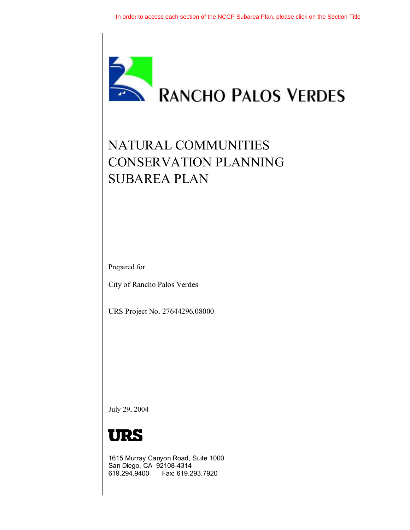

# NATURAL COMMUNITIES CONSERVATION PLANNING SUBAREA PLAN

Prepared for

City of Rancho Palos Verdes

URS Project No. 27644296.08000

July 29, 2004



1615 Murray Canyon Road, Suite 1000 San Diego, CA 92108-4314 619.294.9400 Fax: 619.293.7920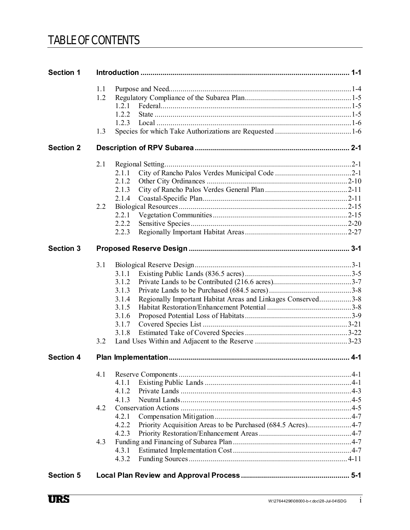### TABLE OF CONTENTS

| <b>Section 1</b> |     |                                                                       |  |
|------------------|-----|-----------------------------------------------------------------------|--|
|                  | 1.1 |                                                                       |  |
|                  | 1.2 |                                                                       |  |
|                  |     | 1.2.1                                                                 |  |
|                  |     | 1.2.2                                                                 |  |
|                  |     | 1.2.3                                                                 |  |
|                  | 1.3 |                                                                       |  |
| <b>Section 2</b> |     |                                                                       |  |
|                  | 2.1 |                                                                       |  |
|                  |     | 2.1.1                                                                 |  |
|                  |     | 2.1.2                                                                 |  |
|                  |     | 2.1.3                                                                 |  |
|                  |     | 2.1.4                                                                 |  |
|                  | 2.2 |                                                                       |  |
|                  |     | 2.2.1                                                                 |  |
|                  |     | 2.2.2                                                                 |  |
|                  |     | 2.2.3                                                                 |  |
| <b>Section 3</b> |     |                                                                       |  |
|                  | 3.1 |                                                                       |  |
|                  |     | 3.1.1                                                                 |  |
|                  |     | 3.1.2                                                                 |  |
|                  |     | 3.1.3                                                                 |  |
|                  |     | 3.1.4<br>Regionally Important Habitat Areas and Linkages Conserved3-8 |  |
|                  |     | 3.1.5                                                                 |  |
|                  |     | 3.1.6                                                                 |  |
|                  |     | 3.1.7                                                                 |  |
|                  |     | 3.1.8                                                                 |  |
|                  | 3.2 |                                                                       |  |
| <b>Section 4</b> |     |                                                                       |  |
|                  | 4.1 |                                                                       |  |
|                  |     | 4.1.1                                                                 |  |
|                  |     | 4.1.2                                                                 |  |
|                  |     | 4.1.3                                                                 |  |
|                  | 4.2 |                                                                       |  |
|                  |     | 4.2.1                                                                 |  |
|                  |     | Priority Acquisition Areas to be Purchased (684.5 Acres)4-7<br>4.2.2  |  |
|                  |     | 4.2.3                                                                 |  |
|                  | 4.3 |                                                                       |  |
|                  |     | 4.3.1                                                                 |  |
|                  |     | 4.3.2                                                                 |  |
| <b>Section 5</b> |     |                                                                       |  |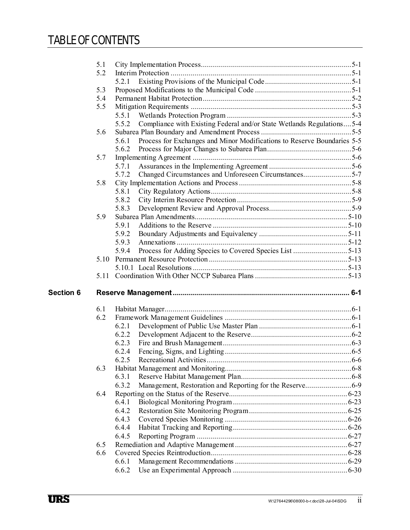## TABLE OF CONTENTS

|           | 5.1  |                                                                                  |  |
|-----------|------|----------------------------------------------------------------------------------|--|
|           | 5.2  |                                                                                  |  |
|           |      | 5.2.1                                                                            |  |
|           | 5.3  |                                                                                  |  |
|           | 5.4  |                                                                                  |  |
|           | 5.5  |                                                                                  |  |
|           |      |                                                                                  |  |
|           |      | Compliance with Existing Federal and/or State Wetlands Regulations5-4<br>5.5.2   |  |
|           | 5.6  |                                                                                  |  |
|           |      | Process for Exchanges and Minor Modifications to Reserve Boundaries 5-5<br>5.6.1 |  |
|           |      | 5.6.2                                                                            |  |
|           | 5.7  |                                                                                  |  |
|           |      | 5.7.1                                                                            |  |
|           |      | Changed Circumstances and Unforeseen Circumstances5-7<br>5.7.2                   |  |
|           | 5.8  |                                                                                  |  |
|           |      | 5.8.1                                                                            |  |
|           |      | 5.8.2                                                                            |  |
|           |      | 5.8.3                                                                            |  |
|           | 5.9  |                                                                                  |  |
|           |      | 5.9.1                                                                            |  |
|           |      | 5.9.2                                                                            |  |
|           |      | 5.9.3                                                                            |  |
|           |      | Process for Adding Species to Covered Species List 5-13<br>5.9.4                 |  |
|           | 5.10 |                                                                                  |  |
|           |      |                                                                                  |  |
|           |      |                                                                                  |  |
|           |      |                                                                                  |  |
|           |      |                                                                                  |  |
| Section 6 |      |                                                                                  |  |
|           | 6.1  |                                                                                  |  |
|           | 6.2  |                                                                                  |  |
|           |      | 6.2.1                                                                            |  |
|           |      | 6.2.2                                                                            |  |
|           |      | 6.2.3                                                                            |  |
|           |      | 6.2.4                                                                            |  |
|           |      | 6.2.5                                                                            |  |
|           | 6.3  |                                                                                  |  |
|           |      | 6.3.1                                                                            |  |
|           |      | 6.3.2                                                                            |  |
|           | 6.4  |                                                                                  |  |
|           |      | 6.4.1                                                                            |  |
|           |      | 6.4.2                                                                            |  |
|           |      | 6.4.3                                                                            |  |
|           |      | 6.4.4                                                                            |  |
|           |      | 6.4.5                                                                            |  |
|           | 6.5  |                                                                                  |  |
|           | 6.6  |                                                                                  |  |
|           |      | 6.6.1<br>6.6.2                                                                   |  |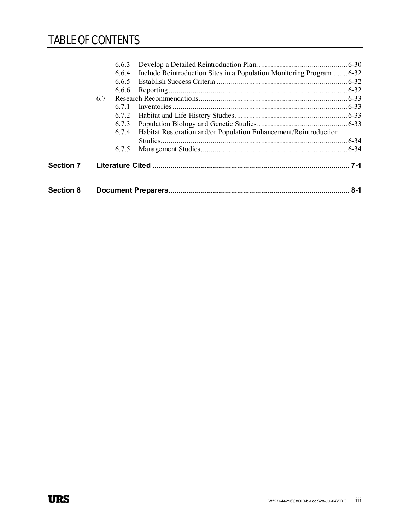## TABLE OF CONTENTS

| <b>Section 8</b> |       |                                                                             | 8-1       |  |
|------------------|-------|-----------------------------------------------------------------------------|-----------|--|
| <b>Section 7</b> |       |                                                                             |           |  |
|                  | 6.7.5 |                                                                             |           |  |
|                  | 6.7.4 | Habitat Restoration and/or Population Enhancement/Reintroduction            | $.6 - 34$ |  |
|                  | 6.7.3 |                                                                             |           |  |
|                  | 6.7.2 |                                                                             |           |  |
|                  | 671   |                                                                             |           |  |
|                  | 6.7   |                                                                             |           |  |
|                  | 6.6.6 |                                                                             |           |  |
|                  | 6.6.5 |                                                                             |           |  |
|                  |       | 6.6.4 Include Reintroduction Sites in a Population Monitoring Program  6-32 |           |  |
|                  | 6.6.3 |                                                                             |           |  |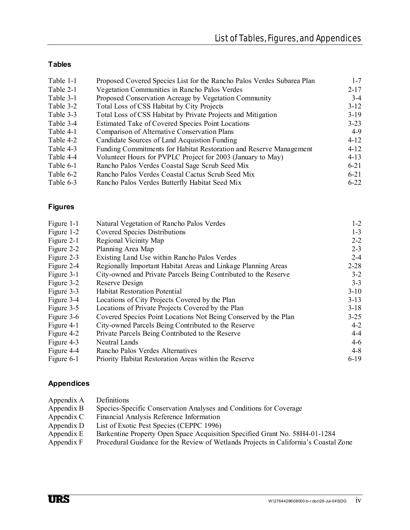#### **Tables**

| Table 1-1 | Proposed Covered Species List for the Rancho Palos Verdes Subarea Plan | $1 - 7$  |
|-----------|------------------------------------------------------------------------|----------|
| Table 2-1 | Vegetation Communities in Rancho Palos Verdes                          | $2 - 17$ |
| Table 3-1 | Proposed Conservation Acreage by Vegetation Community                  | $3-4$    |
| Table 3-2 | Total Loss of CSS Habitat by City Projects                             | $3-12$   |
| Table 3-3 | Total Loss of CSS Habitat by Private Projects and Mitigation           | $3-19$   |
| Table 3-4 | Estimated Take of Covered Species Point Locations                      | $3 - 23$ |
| Table 4-1 | Comparison of Alternative Conservation Plans                           | 4-9      |
| Table 4-2 | Candidate Sources of Land Acquistion Funding                           | $4 - 12$ |
| Table 4-3 | Funding Commitments for Habitat Restoration and Reserve Management     | $4 - 12$ |
| Table 4-4 | Volunteer Hours for PVPLC Project for 2003 (January to May)            | $4 - 13$ |
| Table 6-1 | Rancho Palos Verdes Coastal Sage Scrub Seed Mix                        | $6 - 21$ |
| Table 6-2 | Rancho Palos Verdes Coastal Cactus Scrub Seed Mix                      | $6 - 21$ |
| Table 6-3 | Rancho Palos Verdes Butterfly Habitat Seed Mix                         | $6 - 22$ |

#### **Figures**

| Figure 1-1 | Natural Vegetation of Rancho Palos Verdes                       | $1 - 2$  |
|------------|-----------------------------------------------------------------|----------|
| Figure 1-2 | Covered Species Distributions                                   | $1 - 3$  |
| Figure 2-1 | Regional Vicinity Map                                           | $2 - 2$  |
| Figure 2-2 | Planning Area Map                                               | $2 - 3$  |
| Figure 2-3 | Existing Land Use within Rancho Palos Verdes                    | $2 - 4$  |
| Figure 2-4 | Regionally Important Habitat Areas and Linkage Planning Areas   | $2 - 28$ |
| Figure 3-1 | City-owned and Private Parcels Being Contributed to the Reserve | $3 - 2$  |
| Figure 3-2 | Reserve Design                                                  | $3 - 3$  |
| Figure 3-3 | <b>Habitat Restoration Potential</b>                            | $3-10$   |
| Figure 3-4 | Locations of City Projects Covered by the Plan                  | $3 - 13$ |
| Figure 3-5 | Locations of Private Projects Covered by the Plan               | $3-18$   |
| Figure 3-6 | Covered Species Point Locations Not Being Conserved by the Plan | $3 - 25$ |
| Figure 4-1 | City-owned Parcels Being Contributed to the Reserve             | $4 - 2$  |
| Figure 4-2 | Private Parcels Being Contributed to the Reserve                | $4 - 4$  |
| Figure 4-3 | Neutral Lands                                                   | $4 - 6$  |
| Figure 4-4 | Rancho Palos Verdes Alternatives                                | $4 - 8$  |
| Figure 6-1 | Priority Habitat Restoration Areas within the Reserve           | $6-19$   |

#### **Appendices**

| Appendix A Definitions |                                                                    |
|------------------------|--------------------------------------------------------------------|
| Appendix B             | Species-Specific Conservation Analyses and Conditions for Coverage |

- [Appendix C Financial Analysis Reference Information](http://www.palosverdes.com/rpv/planning/RPV_subarea_nccp_2004/subarea_appendix_c.pdf)
- 
- Appendix D List of Exotic Pest Species (CEPPC 1996)<br>Appendix E Barkentine Property Open Space Acquisiti [Appendix E Barkentine Property Open Space Acquisition Specified Grant No. 58H4-01-1284](http://www.palosverdes.com/rpv/planning/RPV_subarea_nccp_2004/subarea_appendix_e.pdf)
- Appendix F Procedural Guidance for the Review of Wetlands Projects in California's Coastal Zone